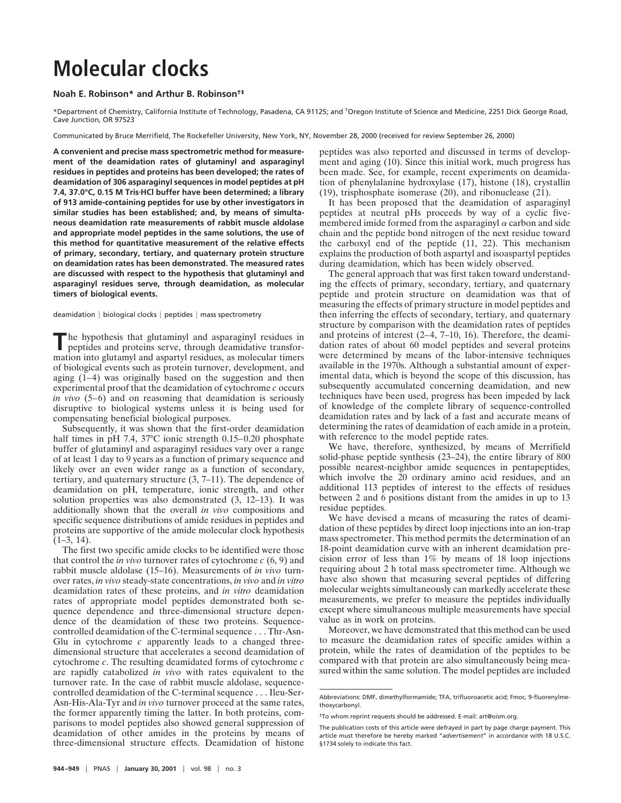## **Molecular clocks**

## **Noah E. Robinson\* and Arthur B. Robinson†‡**

\*Department of Chemistry, California Institute of Technology, Pasadena, CA 91125; and †Oregon Institute of Science and Medicine, 2251 Dick George Road, Cave Junction, OR 97523

Communicated by Bruce Merrifield, The Rockefeller University, New York, NY, November 28, 2000 (received for review September 26, 2000)

**A convenient and precise mass spectrometric method for measurement of the deamidation rates of glutaminyl and asparaginyl residues in peptides and proteins has been developed; the rates of deamidation of 306 asparaginyl sequences in model peptides at pH 7.4, 37.0°C, 0.15 M Tris**z**HCl buffer have been determined; a library of 913 amide-containing peptides for use by other investigators in similar studies has been established; and, by means of simultaneous deamidation rate measurements of rabbit muscle aldolase and appropriate model peptides in the same solutions, the use of this method for quantitative measurement of the relative effects of primary, secondary, tertiary, and quaternary protein structure on deamidation rates has been demonstrated. The measured rates are discussed with respect to the hypothesis that glutaminyl and asparaginyl residues serve, through deamidation, as molecular timers of biological events.**

deamidation  $|$  biological clocks  $|$  peptides  $|$  mass spectrometry

**T**he hypothesis that glutaminyl and asparaginyl residues in peptides and proteins serve, through deamidative transformation into glutamyl and aspartyl residues, as molecular timers of biological events such as protein turnover, development, and aging (1–4) was originally based on the suggestion and then experimental proof that the deamidation of cytochrome *c* occurs *in vivo* (5–6) and on reasoning that deamidation is seriously disruptive to biological systems unless it is being used for compensating beneficial biological purposes.

Subsequently, it was shown that the first-order deamidation half times in pH 7.4, 37°C ionic strength 0.15–0.20 phosphate buffer of glutaminyl and asparaginyl residues vary over a range of at least 1 day to 9 years as a function of primary sequence and likely over an even wider range as a function of secondary, tertiary, and quaternary structure (3, 7–11). The dependence of deamidation on pH, temperature, ionic strength, and other solution properties was also demonstrated (3, 12–13). It was additionally shown that the overall *in vivo* compositions and specific sequence distributions of amide residues in peptides and proteins are supportive of the amide molecular clock hypothesis  $(1-3, 14)$ .

The first two specific amide clocks to be identified were those that control the *in vivo* turnover rates of cytochrome *c* (6, 9) and rabbit muscle aldolase (15–16). Measurements of *in vivo* turnover rates, *in vivo* steady-state concentrations, *in vivo* and *in vitro* deamidation rates of these proteins, and *in vitro* deamidation rates of appropriate model peptides demonstrated both sequence dependence and three-dimensional structure dependence of the deamidation of these two proteins. Sequencecontrolled deamidation of the C-terminal sequence... Thr-Asn-Glu in cytochrome *c* apparently leads to a changed threedimensional structure that accelerates a second deamidation of cytochrome *c*. The resulting deamidated forms of cytochrome *c* are rapidly catabolized *in vivo* with rates equivalent to the turnover rate. In the case of rabbit muscle aldolase, sequencecontrolled deamidation of the C-terminal sequence... Ileu-Ser-Asn-His-Ala-Tyr and *in vivo* turnover proceed at the same rates, the former apparently timing the latter. In both proteins, comparisons to model peptides also showed general suppression of deamidation of other amides in the proteins by means of three-dimensional structure effects. Deamidation of histone

peptides was also reported and discussed in terms of development and aging (10). Since this initial work, much progress has been made. See, for example, recent experiments on deamidation of phenylalanine hydroxylase (17), histone (18), crystallin (19), trisphosphate isomerase (20), and ribonuclease (21).

It has been proposed that the deamidation of asparaginyl peptides at neutral pHs proceeds by way of a cyclic fivemembered imide formed from the asparaginyl  $\alpha$  carbon and side chain and the peptide bond nitrogen of the next residue toward the carboxyl end of the peptide (11, 22). This mechanism explains the production of both aspartyl and isoaspartyl peptides during deamidation, which has been widely observed.

The general approach that was first taken toward understanding the effects of primary, secondary, tertiary, and quaternary peptide and protein structure on deamidation was that of measuring the effects of primary structure in model peptides and then inferring the effects of secondary, tertiary, and quaternary structure by comparison with the deamidation rates of peptides and proteins of interest (2–4, 7–10, 16). Therefore, the deamidation rates of about 60 model peptides and several proteins were determined by means of the labor-intensive techniques available in the 1970s. Although a substantial amount of experimental data, which is beyond the scope of this discussion, has subsequently accumulated concerning deamidation, and new techniques have been used, progress has been impeded by lack of knowledge of the complete library of sequence-controlled deamidation rates and by lack of a fast and accurate means of determining the rates of deamidation of each amide in a protein, with reference to the model peptide rates.

We have, therefore, synthesized, by means of Merrifield solid-phase peptide synthesis (23–24), the entire library of 800 possible nearest-neighbor amide sequences in pentapeptides, which involve the 20 ordinary amino acid residues, and an additional 113 peptides of interest to the effects of residues between 2 and 6 positions distant from the amides in up to 13 residue peptides.

We have devised a means of measuring the rates of deamidation of these peptides by direct loop injections into an ion-trap mass spectrometer. This method permits the determination of an 18-point deamidation curve with an inherent deamidation precision error of less than 1% by means of 18 loop injections requiring about 2 h total mass spectrometer time. Although we have also shown that measuring several peptides of differing molecular weights simultaneously can markedly accelerate these measurements, we prefer to measure the peptides individually except where simultaneous multiple measurements have special value as in work on proteins.

Moreover, we have demonstrated that this method can be used to measure the deamidation rates of specific amides within a protein, while the rates of deamidation of the peptides to be compared with that protein are also simultaneously being measured within the same solution. The model peptides are included

Abbreviations: DMF, dimethylformamide; TFA, trifluoroacetic acid; Fmoc, 9-fluorenylmethoxycarbonyl.

<sup>‡</sup>To whom reprint requests should be addressed. E-mail: art@oism.org.

The publication costs of this article were defrayed in part by page charge payment. This article must therefore be hereby marked "*advertisement*" in accordance with 18 U.S.C. §1734 solely to indicate this fact.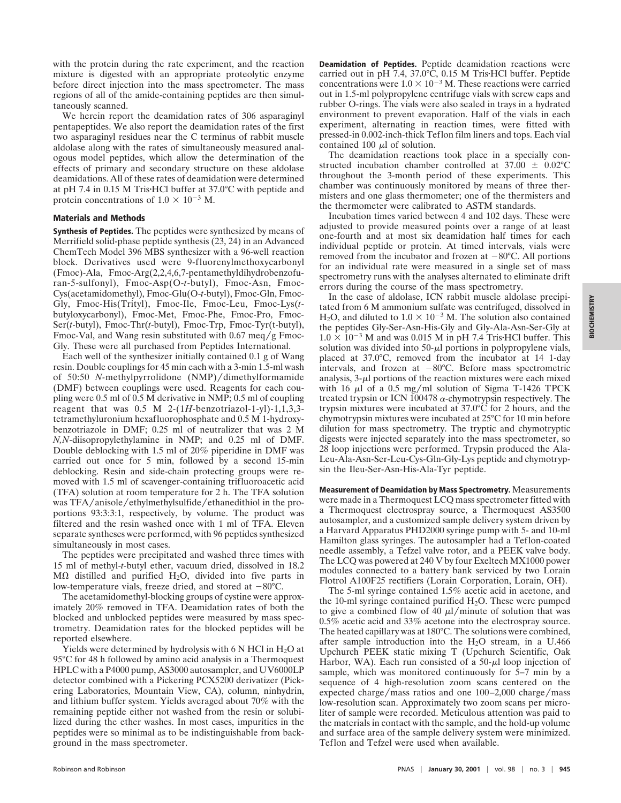with the protein during the rate experiment, and the reaction mixture is digested with an appropriate proteolytic enzyme before direct injection into the mass spectrometer. The mass regions of all of the amide-containing peptides are then simultaneously scanned.

We herein report the deamidation rates of 306 asparaginyl pentapeptides. We also report the deamidation rates of the first two asparaginyl residues near the C terminus of rabbit muscle aldolase along with the rates of simultaneously measured analogous model peptides, which allow the determination of the effects of primary and secondary structure on these aldolase deamidations. All of these rates of deamidation were determined at pH 7.4 in 0.15 M Tris $\cdot$ HCl buffer at 37.0 $\degree$ C with peptide and protein concentrations of  $1.0 \times 10^{-3}$  M.

## **Materials and Methods**

**Synthesis of Peptides.** The peptides were synthesized by means of Merrifield solid-phase peptide synthesis (23, 24) in an Advanced ChemTech Model 396 MBS synthesizer with a 96-well reaction block. Derivatives used were 9-fluorenylmethoxycarbonyl (Fmoc)-Ala, Fmoc-Arg(2,2,4,6,7-pentamethyldihydrobenzofuran-5-sulfonyl), Fmoc-Asp(O-*t*-butyl), Fmoc-Asn, Fmoc-Cys(acetamidomethyl), Fmoc-Glu(O-*t*-butyl), Fmoc-Gln, Fmoc-Gly, Fmoc-His(Trityl), Fmoc-Ile, Fmoc-Leu, Fmoc-Lys(*t*butyloxycarbonyl), Fmoc-Met, Fmoc-Phe, Fmoc-Pro, Fmoc-Ser(*t*-butyl), Fmoc-Thr(*t*-butyl), Fmoc-Trp, Fmoc-Tyr(t-butyl), Fmoc-Val, and Wang resin substituted with  $0.67 \text{~meq/g~Fmoc}$ Gly. These were all purchased from Peptides International.

Each well of the synthesizer initially contained 0.1 g of Wang resin. Double couplings for 45 min each with a 3-min 1.5-ml wash of 50:50 *N*-methylpyrrolidone (NMP)/dimethylformamide (DMF) between couplings were used. Reagents for each coupling were 0.5 ml of 0.5 M derivative in NMP; 0.5 ml of coupling reagent that was  $0.5$  M 2- $(1H$ -benzotriazol-1-yl)-1,1,3,3tetramethyluronium hexafluorophosphate and 0.5 M 1-hydroxybenzotriazole in DMF; 0.25 ml of neutralizer that was 2 M *N,N*-diisopropylethylamine in NMP; and 0.25 ml of DMF. Double deblocking with 1.5 ml of 20% piperidine in DMF was carried out once for 5 min, followed by a second 15-min deblocking. Resin and side-chain protecting groups were removed with 1.5 ml of scavenger-containing trifluoroacetic acid (TFA) solution at room temperature for 2 h. The TFA solution was TFA/anisole/ethylmethylsulfide/ethanedithiol in the proportions 93:3:3:1, respectively, by volume. The product was filtered and the resin washed once with 1 ml of TFA. Eleven separate syntheses were performed, with 96 peptides synthesized simultaneously in most cases.

The peptides were precipitated and washed three times with 15 ml of methyl-*t-*butyl ether, vacuum dried, dissolved in 18.2 M $\Omega$  distilled and purified H<sub>2</sub>O, divided into five parts in low-temperature vials, freeze dried, and stored at  $-80^{\circ}$ C.

The acetamidomethyl-blocking groups of cystine were approximately 20% removed in TFA. Deamidation rates of both the blocked and unblocked peptides were measured by mass spectrometry. Deamidation rates for the blocked peptides will be reported elsewhere.

Yields were determined by hydrolysis with 6 N HCl in  $H_2O$  at 95°C for 48 h followed by amino acid analysis in a Thermoquest HPLC with a P4000 pump, AS3000 autosampler, and UV6000LP detector combined with a Pickering PCX5200 derivatizer (Pickering Laboratories, Mountain View, CA), column, ninhydrin, and lithium buffer system. Yields averaged about 70% with the remaining peptide either not washed from the resin or solubilized during the ether washes. In most cases, impurities in the peptides were so minimal as to be indistinguishable from background in the mass spectrometer.

**Deamidation of Peptides.** Peptide deamidation reactions were carried out in pH 7.4,  $37.0^{\circ}$ C, 0.15 M Tris $\cdot$ HCl buffer. Peptide concentrations were  $1.0 \times 10^{-3}$  M. These reactions were carried out in 1.5-ml polypropylene centrifuge vials with screw caps and rubber O-rings. The vials were also sealed in trays in a hydrated environment to prevent evaporation. Half of the vials in each experiment, alternating in reaction times, were fitted with pressed-in 0.002-inch-thick Teflon film liners and tops. Each vial contained 100  $\mu$ l of solution.

The deamidation reactions took place in a specially constructed incubation chamber controlled at  $37.00 \pm 0.02$ °C throughout the 3-month period of these experiments. This chamber was continuously monitored by means of three thermisters and one glass thermometer; one of the thermisters and the thermometer were calibrated to ASTM standards.

Incubation times varied between 4 and 102 days. These were adjusted to provide measured points over a range of at least one-fourth and at most six deamidation half times for each individual peptide or protein. At timed intervals, vials were removed from the incubator and frozen at  $-80^{\circ}$ C. All portions for an individual rate were measured in a single set of mass spectrometry runs with the analyses alternated to eliminate drift errors during the course of the mass spectrometry.

In the case of aldolase, ICN rabbit muscle aldolase precipitated from 6 M ammonium sulfate was centrifuged, dissolved in H<sub>2</sub>O, and diluted to  $1.0 \times 10^{-3}$  M. The solution also contained the peptides Gly-Ser-Asn-His-Gly and Gly-Ala-Asn-Ser-Gly at  $1.0 \times 10^{-3}$  M and was 0.015 M in pH 7.4 Tris HCl buffer. This solution was divided into  $50-\mu l$  portions in polypropylene vials, placed at 37.0°C, removed from the incubator at 14 1-day intervals, and frozen at  $-80^{\circ}$ C. Before mass spectrometric analysis,  $3-\mu$  portions of the reaction mixtures were each mixed with 16  $\mu$ l of a 0.5 mg/ml solution of Sigma T-1426 TPCK treated trypsin or ICN 100478  $\alpha$ -chymotrypsin respectively. The trypsin mixtures were incubated at 37.0°C for 2 hours, and the chymotrypsin mixtures were incubated at 25°C for 10 min before dilution for mass spectrometry. The tryptic and chymotryptic digests were injected separately into the mass spectrometer, so 28 loop injections were performed. Trypsin produced the Ala-Leu-Ala-Asn-Ser-Leu-Cys-Gln-Gly-Lys peptide and chymotrypsin the Ileu-Ser-Asn-His-Ala-Tyr peptide.

**Measurement of Deamidation by Mass Spectrometry.** Measurements were made in a Thermoquest LCQ mass spectrometer fitted with a Thermoquest electrospray source, a Thermoquest AS3500 autosampler, and a customized sample delivery system driven by a Harvard Apparatus PHD2000 syringe pump with 5- and 10-ml Hamilton glass syringes. The autosampler had a Teflon-coated needle assembly, a Tefzel valve rotor, and a PEEK valve body. The LCQ was powered at 240 V by four Exeltech MX1000 power modules connected to a battery bank serviced by two Lorain Flotrol A100F25 rectifiers (Lorain Corporation, Lorain, OH).

The 5-ml syringe contained 1.5% acetic acid in acetone, and the 10-ml syringe contained purified  $H_2O$ . These were pumped to give a combined flow of 40  $\mu$ l/minute of solution that was 0.5% acetic acid and 33% acetone into the electrospray source. The heated capillary was at 180°C. The solutions were combined, after sample introduction into the  $H<sub>2</sub>O$  stream, in a U.466 Upchurch PEEK static mixing T (Upchurch Scientific, Oak Harbor, WA). Each run consisted of a  $50-\mu l$  loop injection of sample, which was monitored continuously for 5–7 min by a sequence of 4 high-resolution zoom scans centered on the expected charge/mass ratios and one  $100-2,000$  charge/mass low-resolution scan. Approximately two zoom scans per microliter of sample were recorded. Meticulous attention was paid to the materials in contact with the sample, and the hold-up volume and surface area of the sample delivery system were minimized. Teflon and Tefzel were used when available.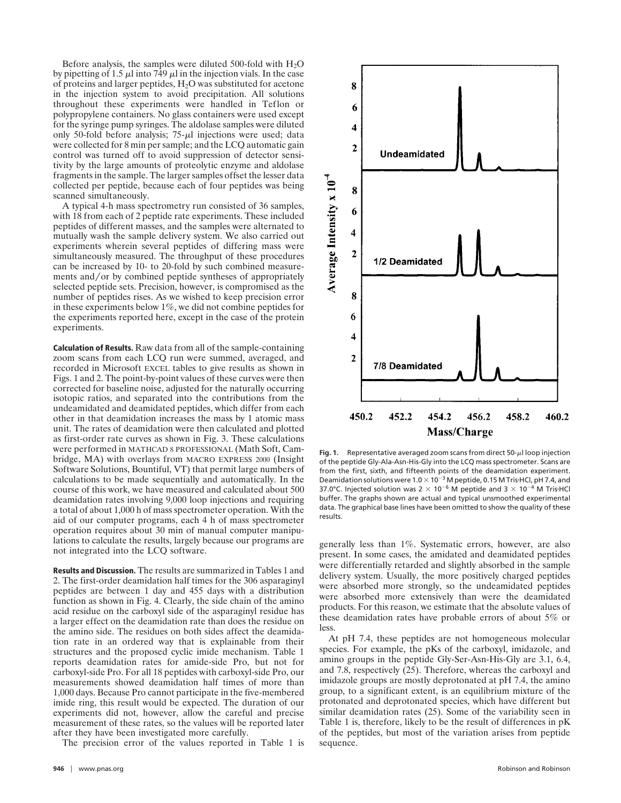Before analysis, the samples were diluted 500-fold with  $H_2O$ by pipetting of 1.5  $\mu$ l into 749  $\mu$ l in the injection vials. In the case of proteins and larger peptides, H2O was substituted for acetone in the injection system to avoid precipitation. All solutions throughout these experiments were handled in Teflon or polypropylene containers. No glass containers were used except for the syringe pump syringes. The aldolase samples were diluted only 50-fold before analysis;  $75-\mu l$  injections were used; data were collected for 8 min per sample; and the LCQ automatic gain control was turned off to avoid suppression of detector sensitivity by the large amounts of proteolytic enzyme and aldolase fragments in the sample. The larger samples offset the lesser data collected per peptide, because each of four peptides was being scanned simultaneously.

A typical 4-h mass spectrometry run consisted of 36 samples, with 18 from each of 2 peptide rate experiments. These included peptides of different masses, and the samples were alternated to mutually wash the sample delivery system. We also carried out experiments wherein several peptides of differing mass were simultaneously measured. The throughput of these procedures can be increased by 10- to 20-fold by such combined measurements and/or by combined peptide syntheses of appropriately selected peptide sets. Precision, however, is compromised as the number of peptides rises. As we wished to keep precision error in these experiments below 1%, we did not combine peptides for the experiments reported here, except in the case of the protein experiments.

**Calculation of Results.** Raw data from all of the sample-containing zoom scans from each LCQ run were summed, averaged, and recorded in Microsoft EXCEL tables to give results as shown in Figs. 1 and 2. The point-by-point values of these curves were then corrected for baseline noise, adjusted for the naturally occurring isotopic ratios, and separated into the contributions from the undeamidated and deamidated peptides, which differ from each other in that deamidation increases the mass by 1 atomic mass unit. The rates of deamidation were then calculated and plotted as first-order rate curves as shown in Fig. 3. These calculations were performed in MATHCAD 8 PROFESSIONAL (Math Soft, Cambridge, MA) with overlays from MACRO EXPRESS 2000 (Insight Software Solutions, Bountiful, VT) that permit large numbers of calculations to be made sequentially and automatically. In the course of this work, we have measured and calculated about 500 deamidation rates involving 9,000 loop injections and requiring a total of about 1,000 h of mass spectrometer operation. With the aid of our computer programs, each 4 h of mass spectrometer operation requires about 30 min of manual computer manipulations to calculate the results, largely because our programs are not integrated into the LCQ software.

**Results and Discussion.** The results are summarized in Tables 1 and 2. The first-order deamidation half times for the 306 asparaginyl peptides are between 1 day and 455 days with a distribution function as shown in Fig. 4. Clearly, the side chain of the amino acid residue on the carboxyl side of the asparaginyl residue has a larger effect on the deamidation rate than does the residue on the amino side. The residues on both sides affect the deamidation rate in an ordered way that is explainable from their structures and the proposed cyclic imide mechanism. Table 1 reports deamidation rates for amide-side Pro, but not for carboxyl-side Pro. For all 18 peptides with carboxyl-side Pro, our measurements showed deamidation half times of more than 1,000 days. Because Pro cannot participate in the five-membered imide ring, this result would be expected. The duration of our experiments did not, however, allow the careful and precise measurement of these rates, so the values will be reported later after they have been investigated more carefully.

The precision error of the values reported in Table 1 is



Fig. 1. Representative averaged zoom scans from direct  $50-\mu$ l loop injection of the peptide Gly-Ala-Asn-His-Gly into the LCQ mass spectrometer. Scans are from the first, sixth, and fifteenth points of the deamidation experiment. Deamidation solutions were 1.0  $\times$  10<sup>-3</sup> M peptide, 0.15 M Tris HCl, pH 7.4, and 37.0°C. Injected solution was  $2 \times 10^{-6}$  M peptide and  $3 \times 10^{-4}$  M Tris-HCl buffer. The graphs shown are actual and typical unsmoothed experimental data. The graphical base lines have been omitted to show the quality of these results.

generally less than 1%. Systematic errors, however, are also present. In some cases, the amidated and deamidated peptides were differentially retarded and slightly absorbed in the sample delivery system. Usually, the more positively charged peptides were absorbed more strongly, so the undeamidated peptides were absorbed more extensively than were the deamidated products. For this reason, we estimate that the absolute values of these deamidation rates have probable errors of about 5% or less.

At pH 7.4, these peptides are not homogeneous molecular species. For example, the pKs of the carboxyl, imidazole, and amino groups in the peptide Gly-Ser-Asn-His-Gly are 3.1, 6.4, and 7.8, respectively (25). Therefore, whereas the carboxyl and imidazole groups are mostly deprotonated at pH 7.4, the amino group, to a significant extent, is an equilibrium mixture of the protonated and deprotonated species, which have different but similar deamidation rates (25). Some of the variability seen in Table 1 is, therefore, likely to be the result of differences in pK of the peptides, but most of the variation arises from peptide sequence.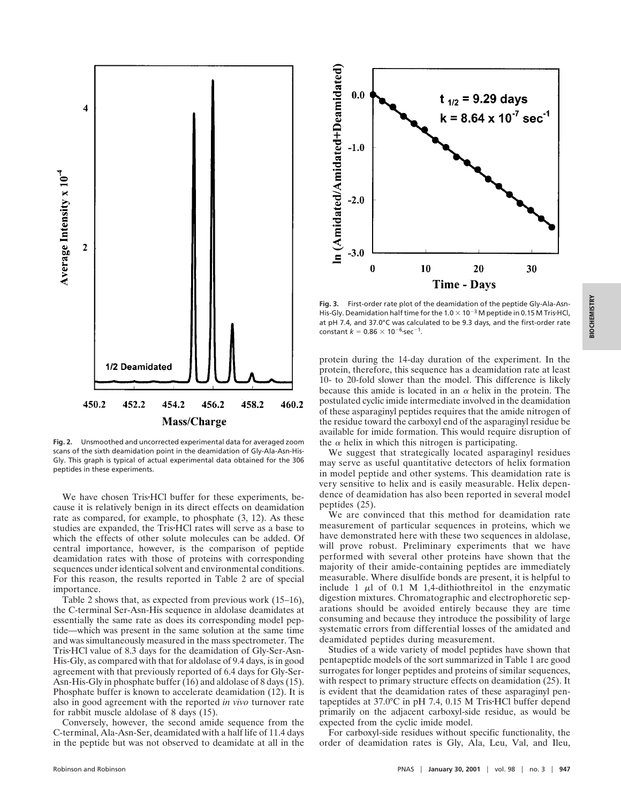

**Fig. 2.** Unsmoothed and uncorrected experimental data for averaged zoom scans of the sixth deamidation point in the deamidation of Gly-Ala-Asn-His-Gly. This graph is typical of actual experimental data obtained for the 306 peptides in these experiments.

We have chosen Tris<sup>-</sup>HCl buffer for these experiments, because it is relatively benign in its direct effects on deamidation rate as compared, for example, to phosphate (3, 12). As these studies are expanded, the Tris<sup>HCl</sup> rates will serve as a base to which the effects of other solute molecules can be added. Of central importance, however, is the comparison of peptide deamidation rates with those of proteins with corresponding sequences under identical solvent and environmental conditions. For this reason, the results reported in Table 2 are of special importance.

Table 2 shows that, as expected from previous work (15–16), the C-terminal Ser-Asn-His sequence in aldolase deamidates at essentially the same rate as does its corresponding model peptide—which was present in the same solution at the same time and was simultaneously measured in the mass spectrometer. The Tris HCl value of 8.3 days for the deamidation of Gly-Ser-Asn-His-Gly, as compared with that for aldolase of 9.4 days, is in good agreement with that previously reported of 6.4 days for Gly-Ser-Asn-His-Gly in phosphate buffer (16) and aldolase of 8 days (15). Phosphate buffer is known to accelerate deamidation (12). It is also in good agreement with the reported *in vivo* turnover rate for rabbit muscle aldolase of 8 days (15).

Conversely, however, the second amide sequence from the C-terminal, Ala-Asn-Ser, deamidated with a half life of 11.4 days in the peptide but was not observed to deamidate at all in the



**Fig. 3.** First-order rate plot of the deamidation of the peptide Gly-Ala-Asn-His-Gly. Deamidation half time for the  $1.0 \times 10^{-3}$  M peptide in 0.15 M Tris HCl, at pH 7.4, and 37.0°C was calculated to be 9.3 days, and the first-order rate constant  $k = 0.86 \times 10^{-6}$ -sec<sup>-1</sup>.

protein during the 14-day duration of the experiment. In the protein, therefore, this sequence has a deamidation rate at least 10- to 20-fold slower than the model. This difference is likely because this amide is located in an  $\alpha$  helix in the protein. The postulated cyclic imide intermediate involved in the deamidation of these asparaginyl peptides requires that the amide nitrogen of the residue toward the carboxyl end of the asparaginyl residue be available for imide formation. This would require disruption of the  $\alpha$  helix in which this nitrogen is participating.

We suggest that strategically located asparaginyl residues may serve as useful quantitative detectors of helix formation in model peptide and other systems. This deamidation rate is very sensitive to helix and is easily measurable. Helix dependence of deamidation has also been reported in several model peptides (25).

We are convinced that this method for deamidation rate measurement of particular sequences in proteins, which we have demonstrated here with these two sequences in aldolase, will prove robust. Preliminary experiments that we have performed with several other proteins have shown that the majority of their amide-containing peptides are immediately measurable. Where disulfide bonds are present, it is helpful to include 1  $\mu$ l of 0.1 M 1,4-dithiothreitol in the enzymatic digestion mixtures. Chromatographic and electrophoretic separations should be avoided entirely because they are time consuming and because they introduce the possibility of large systematic errors from differential losses of the amidated and deamidated peptides during measurement.

Studies of a wide variety of model peptides have shown that pentapeptide models of the sort summarized in Table 1 are good surrogates for longer peptides and proteins of similar sequences, with respect to primary structure effects on deamidation (25). It is evident that the deamidation rates of these asparaginyl pentapeptides at  $37.0^{\circ}$ C in pH 7.4, 0.15 M Tris $\cdot$ HCl buffer depend primarily on the adjacent carboxyl-side residue, as would be expected from the cyclic imide model.

For carboxyl-side residues without specific functionality, the order of deamidation rates is Gly, Ala, Leu, Val, and Ileu,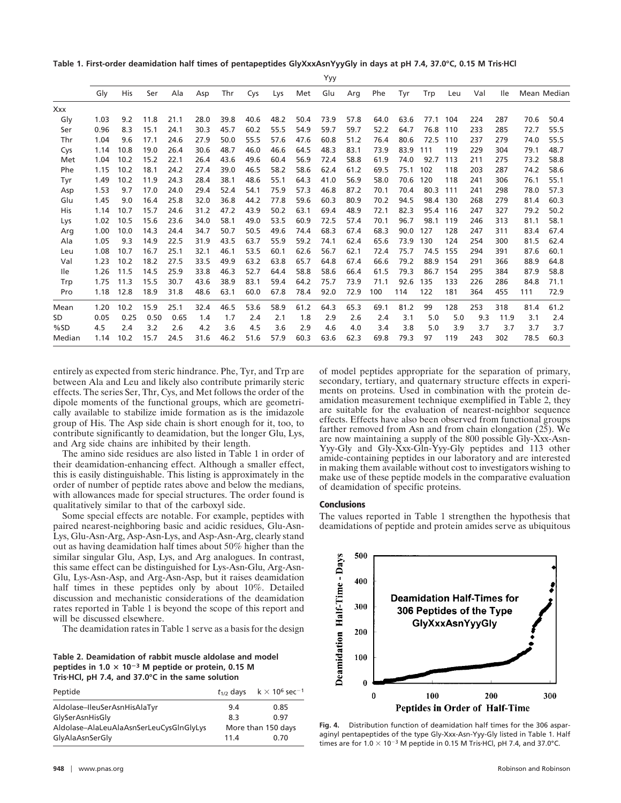Table 1. First-order deamidation half times of pentapeptides GlyXxxAsnYyyGly in days at pH 7.4, 37.0°C, 0.15 M Tris·HCl

|            | Yyy  |      |      |      |      |      |      |      |      |      |      |      |      |      |       |     |            |      |             |
|------------|------|------|------|------|------|------|------|------|------|------|------|------|------|------|-------|-----|------------|------|-------------|
|            | Gly  | His  | Ser  | Ala  | Asp  | Thr  | Cys  | Lys  | Met  | Glu  | Arg  | Phe  | Tyr  | Trp  | Leu   | Val | <b>Ile</b> |      | Mean Median |
| Xxx        |      |      |      |      |      |      |      |      |      |      |      |      |      |      |       |     |            |      |             |
| Gly        | 1.03 | 9.2  | 11.8 | 21.1 | 28.0 | 39.8 | 40.6 | 48.2 | 50.4 | 73.9 | 57.8 | 64.0 | 63.6 | 77.1 | 104   | 224 | 287        | 70.6 | 50.4        |
| Ser        | 0.96 | 8.3  | 15.1 | 24.1 | 30.3 | 45.7 | 60.2 | 55.5 | 54.9 | 59.7 | 59.7 | 52.2 | 64.7 | 76.8 | 110   | 233 | 285        | 72.7 | 55.5        |
| Thr        | 1.04 | 9.6  | 17.1 | 24.6 | 27.9 | 50.0 | 55.5 | 57.6 | 47.6 | 60.8 | 51.2 | 76.4 | 80.6 | 72.5 | 110   | 237 | 279        | 74.0 | 55.5        |
| Cys        | 1.14 | 10.8 | 19.0 | 26.4 | 30.6 | 48.7 | 46.0 | 46.6 | 64.5 | 48.3 | 83.1 | 73.9 | 83.9 | 111  | 119   | 229 | 304        | 79.1 | 48.7        |
| Met        | 1.04 | 10.2 | 15.2 | 22.1 | 26.4 | 43.6 | 49.6 | 60.4 | 56.9 | 72.4 | 58.8 | 61.9 | 74.0 | 92.7 | 113   | 211 | 275        | 73.2 | 58.8        |
| Phe        | 1.15 | 10.2 | 18.1 | 24.2 | 27.4 | 39.0 | 46.5 | 58.2 | 58.6 | 62.4 | 61.2 | 69.5 | 75.1 | 102  | 118   | 203 | 287        | 74.2 | 58.6        |
| Tyr        | 1.49 | 10.2 | 11.9 | 24.3 | 28.4 | 38.1 | 48.6 | 55.1 | 64.3 | 41.0 | 56.9 | 58.0 | 70.6 | 120  | 118   | 241 | 306        | 76.1 | 55.1        |
| Asp        | 1.53 | 9.7  | 17.0 | 24.0 | 29.4 | 52.4 | 54.1 | 75.9 | 57.3 | 46.8 | 87.2 | 70.1 | 70.4 | 80.3 | 111   | 241 | 298        | 78.0 | 57.3        |
| Glu        | 1.45 | 9.0  | 16.4 | 25.8 | 32.0 | 36.8 | 44.2 | 77.8 | 59.6 | 60.3 | 80.9 | 70.2 | 94.5 | 98.4 | 130   | 268 | 279        | 81.4 | 60.3        |
| His        | 1.14 | 10.7 | 15.7 | 24.6 | 31.2 | 47.2 | 43.9 | 50.2 | 63.1 | 69.4 | 48.9 | 72.1 | 82.3 | 95.4 | - 116 | 247 | 327        | 79.2 | 50.2        |
| Lys        | 1.02 | 10.5 | 15.6 | 23.6 | 34.0 | 58.1 | 49.0 | 53.5 | 60.9 | 72.5 | 57.4 | 70.1 | 96.7 | 98.1 | 119   | 246 | 313        | 81.1 | 58.1        |
| Arg        | 1.00 | 10.0 | 14.3 | 24.4 | 34.7 | 50.7 | 50.5 | 49.6 | 74.4 | 68.3 | 67.4 | 68.3 | 90.0 | 127  | 128   | 247 | 311        | 83.4 | 67.4        |
| Ala        | 1.05 | 9.3  | 14.9 | 22.5 | 31.9 | 43.5 | 63.7 | 55.9 | 59.2 | 74.1 | 62.4 | 65.6 | 73.9 | 130  | 124   | 254 | 300        | 81.5 | 62.4        |
| Leu        | 1.08 | 10.7 | 16.7 | 25.1 | 32.1 | 46.1 | 53.5 | 60.1 | 62.6 | 56.7 | 62.1 | 72.4 | 75.7 | 74.5 | 155   | 294 | 391        | 87.6 | 60.1        |
| Val        | 1.23 | 10.2 | 18.2 | 27.5 | 33.5 | 49.9 | 63.2 | 63.8 | 65.7 | 64.8 | 67.4 | 66.6 | 79.2 | 88.9 | 154   | 291 | 366        | 88.9 | 64.8        |
| <b>lle</b> | 1.26 | 11.5 | 14.5 | 25.9 | 33.8 | 46.3 | 52.7 | 64.4 | 58.8 | 58.6 | 66.4 | 61.5 | 79.3 | 86.7 | 154   | 295 | 384        | 87.9 | 58.8        |
| Trp        | 1.75 | 11.3 | 15.5 | 30.7 | 43.6 | 38.9 | 83.1 | 59.4 | 64.2 | 75.7 | 73.9 | 71.1 | 92.6 | 135  | 133   | 226 | 286        | 84.8 | 71.1        |
| Pro        | 1.18 | 12.8 | 18.9 | 31.8 | 48.6 | 63.1 | 60.0 | 67.8 | 78.4 | 92.0 | 72.9 | 100  | 114  | 122  | 181   | 364 | 455        | 111  | 72.9        |
| Mean       | 1.20 | 10.2 | 15.9 | 25.1 | 32.4 | 46.5 | 53.6 | 58.9 | 61.2 | 64.3 | 65.3 | 69.1 | 81.2 | 99   | 128   | 253 | 318        | 81.4 | 61.2        |
| SD         | 0.05 | 0.25 | 0.50 | 0.65 | 1.4  | 1.7  | 2.4  | 2.1  | 1.8  | 2.9  | 2.6  | 2.4  | 3.1  | 5.0  | 5.0   | 9.3 | 11.9       | 3.1  | 2.4         |
| %SD        | 4.5  | 2.4  | 3.2  | 2.6  | 4.2  | 3.6  | 4.5  | 3.6  | 2.9  | 4.6  | 4.0  | 3.4  | 3.8  | 5.0  | 3.9   | 3.7 | 3.7        | 3.7  | 3.7         |
| Median     | 1.14 | 10.2 | 15.7 | 24.5 | 31.6 | 46.2 | 51.6 | 57.9 | 60.3 | 63.6 | 62.3 | 69.8 | 79.3 | 97   | 119   | 243 | 302        | 78.5 | 60.3        |

entirely as expected from steric hindrance. Phe, Tyr, and Trp are between Ala and Leu and likely also contribute primarily steric effects. The series Ser, Thr, Cys, and Met follows the order of the dipole moments of the functional groups, which are geometrically available to stabilize imide formation as is the imidazole group of His. The Asp side chain is short enough for it, too, to contribute significantly to deamidation, but the longer Glu, Lys, and Arg side chains are inhibited by their length.

The amino side residues are also listed in Table 1 in order of their deamidation-enhancing effect. Although a smaller effect, this is easily distinguishable. This listing is approximately in the order of number of peptide rates above and below the medians, with allowances made for special structures. The order found is qualitatively similar to that of the carboxyl side.

Some special effects are notable. For example, peptides with paired nearest-neighboring basic and acidic residues, Glu-Asn-Lys, Glu-Asn-Arg, Asp-Asn-Lys, and Asp-Asn-Arg, clearly stand out as having deamidation half times about 50% higher than the similar singular Glu, Asp, Lys, and Arg analogues. In contrast, this same effect can be distinguished for Lys-Asn-Glu, Arg-Asn-Glu, Lys-Asn-Asp, and Arg-Asn-Asp, but it raises deamidation half times in these peptides only by about 10%. Detailed discussion and mechanistic considerations of the deamidation rates reported in Table 1 is beyond the scope of this report and will be discussed elsewhere.

The deamidation rates in Table 1 serve as a basis for the design

**Table 2. Deamidation of rabbit muscle aldolase and model peptides in 1.0**  $\times$  10<sup>-3</sup> M peptide or protein, 0.15 M **Tris**z**HCl, pH 7.4, and 37.0°C in the same solution**

| Peptide                                 |                    | $t_{1/2}$ days $k \times 10^6$ sec <sup>-1</sup> |  |  |  |
|-----------------------------------------|--------------------|--------------------------------------------------|--|--|--|
| Aldolase-IleuSerAsnHisAlaTyr            | 9.4                | 0.85                                             |  |  |  |
| GlySerAsnHisGly                         | 8.3                | 0.97                                             |  |  |  |
| Aldolase-AlaLeuAlaAsnSerLeuCysGlnGlyLys | More than 150 days |                                                  |  |  |  |
| GlyAlaAsnSerGly                         | 11.4               | 0.70                                             |  |  |  |

of model peptides appropriate for the separation of primary, secondary, tertiary, and quaternary structure effects in experiments on proteins. Used in combination with the protein deamidation measurement technique exemplified in Table 2, they are suitable for the evaluation of nearest-neighbor sequence effects. Effects have also been observed from functional groups farther removed from Asn and from chain elongation (25). We are now maintaining a supply of the 800 possible Gly-Xxx-Asn-Yyy-Gly and Gly-Xxx-Gln-Yyy-Gly peptides and 113 other amide-containing peptides in our laboratory and are interested in making them available without cost to investigators wishing to make use of these peptide models in the comparative evaluation of deamidation of specific proteins.

## **Conclusions**

The values reported in Table 1 strengthen the hypothesis that deamidations of peptide and protein amides serve as ubiquitous



**Fig. 4.** Distribution function of deamidation half times for the 306 asparaginyl pentapeptides of the type Gly-Xxx-Asn-Yyy-Gly listed in Table 1. Half times are for  $1.0 \times 10^{-3}$  M peptide in 0.15 M Tris HCl, pH 7.4, and 37.0°C.